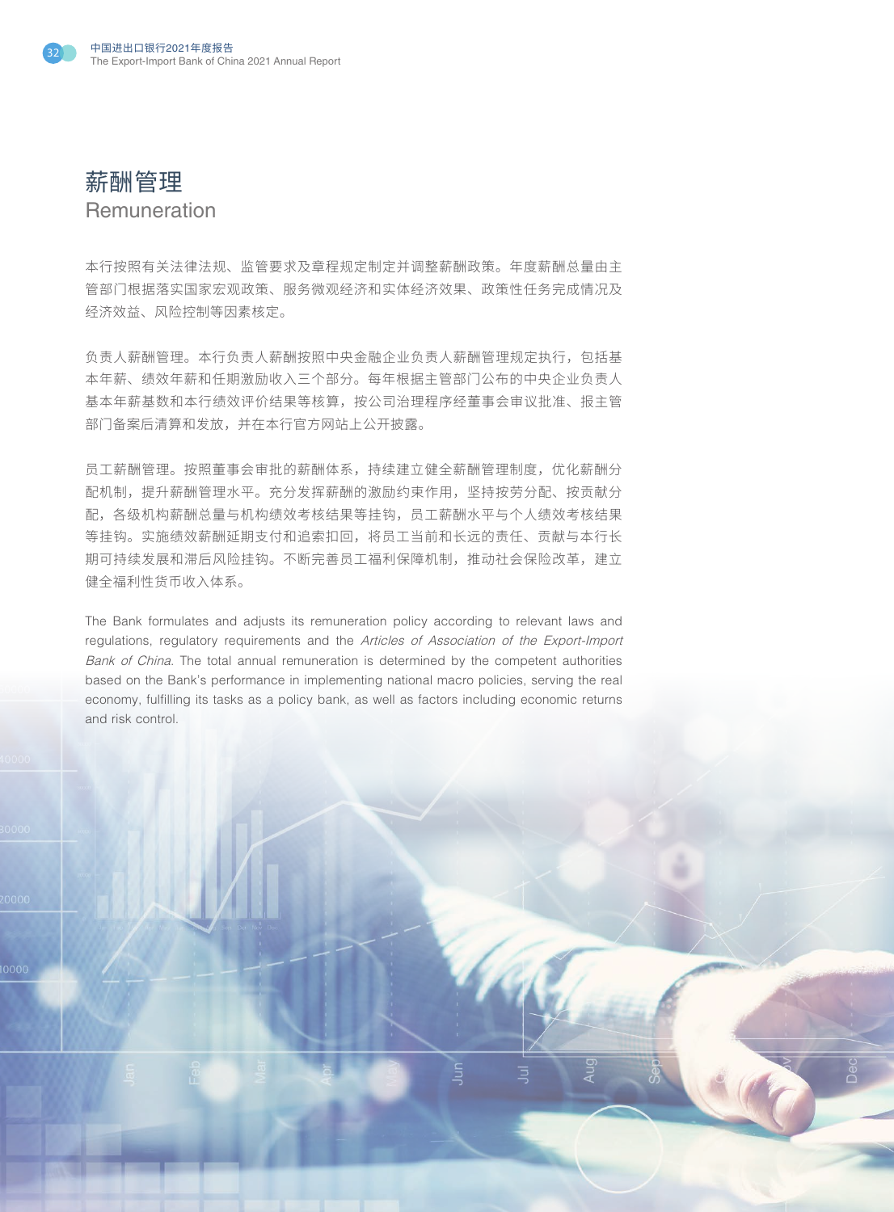

0000

## 薪酬管理 **Remuneration**

本行按照有关法律法规、监管要求及章程规定制定并调整薪酬政策。年度薪酬总量由主 管部门根据落实国家宏观政策、服务微观经济和实体经济效果、政策性任务完成情况及 经济效益、风险控制等因素核定。

负责人薪酬管理。本行负责人薪酬按照中央金融企业负责人薪酬管理规定执行,包括基 本年薪、绩效年薪和任期激励收入三个部分。每年根据主管部门公布的中央企业负责人 基本年薪基数和本行绩效评价结果等核算,按公司治理程序经董事会审议批准、报主管 部门备案后清算和发放,并在本行官方网站上公开披露。

员工薪酬管理。按照董事会审批的薪酬体系,持续建立健全薪酬管理制度,优化薪酬分 配机制,提升薪酬管理水平。充分发挥薪酬的激励约束作用,坚持按劳分配、按贡献分 配,各级机构薪酬总量与机构绩效考核结果等挂钩,员工薪酬水平与个人绩效考核结果 等挂钩。实施绩效薪酬延期支付和追索扣回,将员工当前和长远的责任、贡献与本行长 期可持续发展和滞后风险挂钩。不断完善员工福利保障机制,推动社会保险改革,建立 健全福利性货币收入体系。

The Bank formulates and adjusts its remuneration policy according to relevant laws and regulations, regulatory requirements and the Articles of Association of the Export-Import Bank of China. The total annual remuneration is determined by the competent authorities based on the Bank's performance in implementing national macro policies, serving the real economy, fulfilling its tasks as a policy bank, as well as factors including economic returns and risk control.